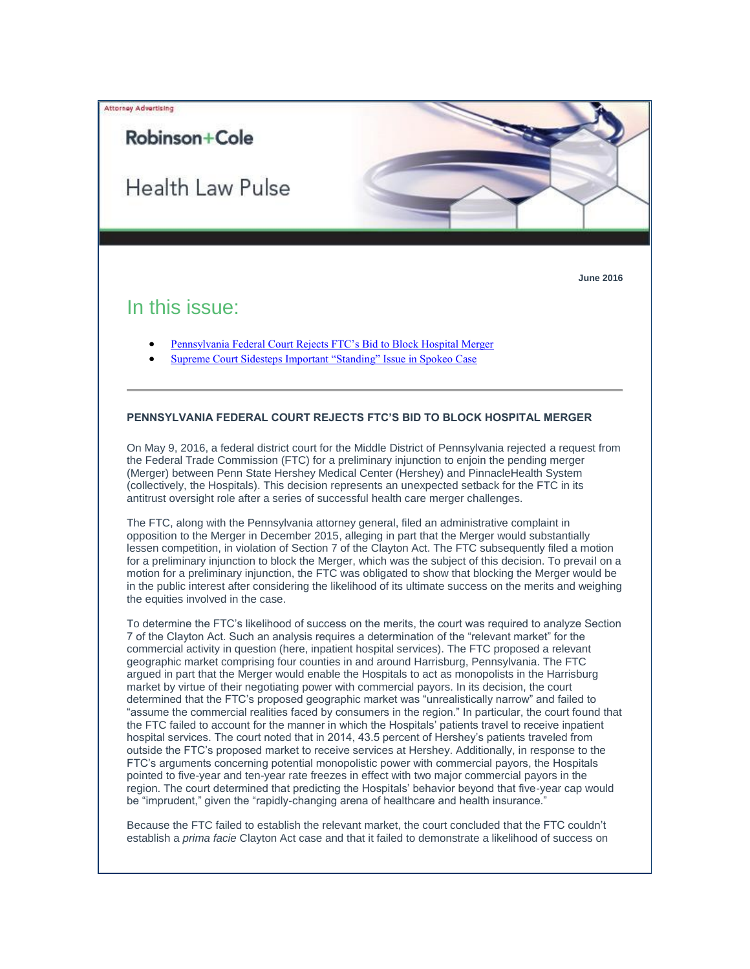

## Robinson+Cole

Health Law Pulse



## In this issue:

- [Pennsylvania Federal Court Rejects FTC's Bid to Block Hospital Merger](#page-0-0)
- [Supreme Court Sidesteps Important "Standing" Issue in Spokeo Case](#page-1-0)

## <span id="page-0-0"></span>**PENNSYLVANIA FEDERAL COURT REJECTS FTC'S BID TO BLOCK HOSPITAL MERGER**

On May 9, 2016, a federal district court for the Middle District of Pennsylvania rejected a request from the Federal Trade Commission (FTC) for a preliminary injunction to enjoin the pending merger (Merger) between Penn State Hershey Medical Center (Hershey) and PinnacleHealth System (collectively, the Hospitals). This decision represents an unexpected setback for the FTC in its antitrust oversight role after a series of successful health care merger challenges.

The FTC, along with the Pennsylvania attorney general, filed an administrative complaint in opposition to the Merger in December 2015, alleging in part that the Merger would substantially lessen competition, in violation of Section 7 of the Clayton Act. The FTC subsequently filed a motion for a preliminary injunction to block the Merger, which was the subject of this decision. To prevail on a motion for a preliminary injunction, the FTC was obligated to show that blocking the Merger would be in the public interest after considering the likelihood of its ultimate success on the merits and weighing the equities involved in the case.

To determine the FTC's likelihood of success on the merits, the court was required to analyze Section 7 of the Clayton Act. Such an analysis requires a determination of the "relevant market" for the commercial activity in question (here, inpatient hospital services). The FTC proposed a relevant geographic market comprising four counties in and around Harrisburg, Pennsylvania. The FTC argued in part that the Merger would enable the Hospitals to act as monopolists in the Harrisburg market by virtue of their negotiating power with commercial payors. In its decision, the court determined that the FTC's proposed geographic market was "unrealistically narrow" and failed to "assume the commercial realities faced by consumers in the region." In particular, the court found that the FTC failed to account for the manner in which the Hospitals' patients travel to receive inpatient hospital services. The court noted that in 2014, 43.5 percent of Hershey's patients traveled from outside the FTC's proposed market to receive services at Hershey. Additionally, in response to the FTC's arguments concerning potential monopolistic power with commercial payors, the Hospitals pointed to five-year and ten-year rate freezes in effect with two major commercial payors in the region. The court determined that predicting the Hospitals' behavior beyond that five-year cap would be "imprudent," given the "rapidly-changing arena of healthcare and health insurance."

Because the FTC failed to establish the relevant market, the court concluded that the FTC couldn't establish a *prima facie* Clayton Act case and that it failed to demonstrate a likelihood of success on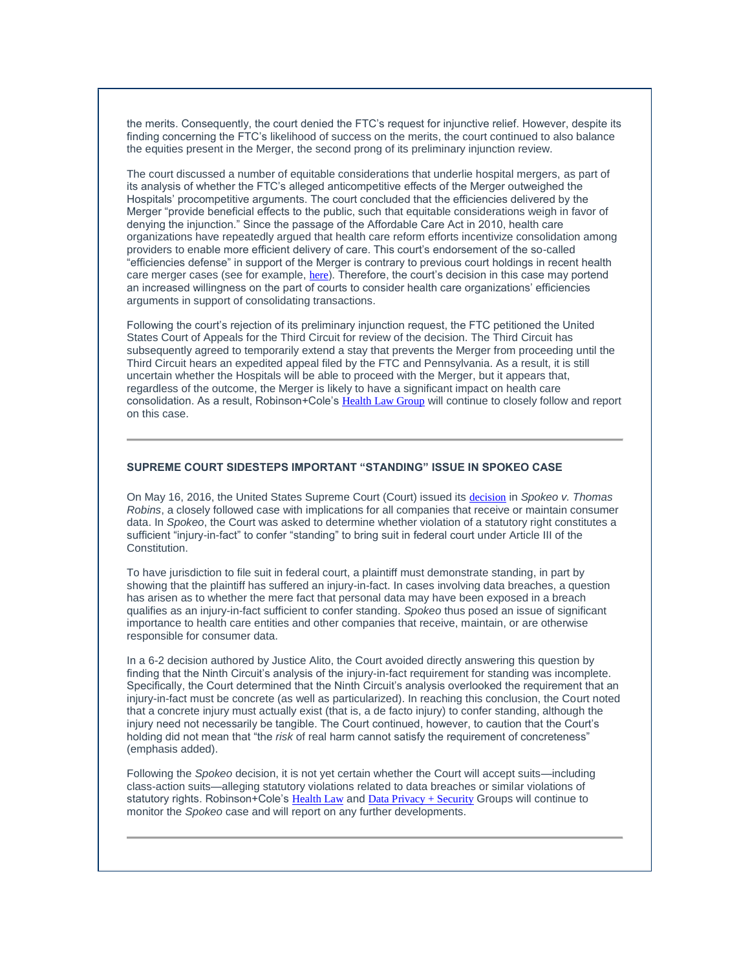the merits. Consequently, the court denied the FTC's request for injunctive relief. However, despite its finding concerning the FTC's likelihood of success on the merits, the court continued to also balance the equities present in the Merger, the second prong of its preliminary injunction review.

The court discussed a number of equitable considerations that underlie hospital mergers, as part of its analysis of whether the FTC's alleged anticompetitive effects of the Merger outweighed the Hospitals' procompetitive arguments. The court concluded that the efficiencies delivered by the Merger "provide beneficial effects to the public, such that equitable considerations weigh in favor of denying the injunction." Since the passage of the Affordable Care Act in 2010, health care organizations have repeatedly argued that health care reform efforts incentivize consolidation among providers to enable more efficient delivery of care. This court's endorsement of the so-called "efficiencies defense" in support of the Merger is contrary to previous court holdings in recent health care merger cases (see for example, [here](http://t2806904.omkt.co/track.aspx?id=402|2AD478|6F10|54A3|114F|0|1FBC|1|2108E907&destination=http%3a%2f%2fwww.rc.com%2fnewsletters%2f2015%2fupload%2fLegal-Update_Health-Law-Pulse_2-25-15.pdf%3futm_source%3dVocus%26utm_medium%3demail%26utm_campaign%3dRobinson%2b%2526%2bCole%2bLLP%26utm_content%3dBHC%2b%2bPulse%2b%2b6316&dchk=72DFE56D)). Therefore, the court's decision in this case may portend an increased willingness on the part of courts to consider health care organizations' efficiencies arguments in support of consolidating transactions.

Following the court's rejection of its preliminary injunction request, the FTC petitioned the United States Court of Appeals for the Third Circuit for review of the decision. The Third Circuit has subsequently agreed to temporarily extend a stay that prevents the Merger from proceeding until the Third Circuit hears an expedited appeal filed by the FTC and Pennsylvania. As a result, it is still uncertain whether the Hospitals will be able to proceed with the Merger, but it appears that, regardless of the outcome, the Merger is likely to have a significant impact on health care consolidation. As a result, Robinson+Cole's [Health Law Group](http://t2806904.omkt.co/track.aspx?id=402|2AD478|6F10|54A3|114F|0|1FBD|1|2108E907&destination=http%3a%2f%2fwww.rc.com%2fpractices%2fHealthLaw%2f%3futm_source%3dVocus%26utm_medium%3demail%26utm_campaign%3dRobinson%2b%2526%2bCole%2bLLP%26utm_content%3dBHC%2b%2bPulse%2b%2b6316&dchk=23F6DE98) will continue to closely follow and report on this case.

## <span id="page-1-0"></span>**SUPREME COURT SIDESTEPS IMPORTANT "STANDING" ISSUE IN SPOKEO CASE**

On May 16, 2016, the United States Supreme Court (Court) issued its [decision](http://t2806904.omkt.co/track.aspx?id=402|2AD478|6F10|54A3|114F|0|1FBE|1|2108E907&destination=http%3a%2f%2fwww.supremecourt.gov%2fopinions%2f15pdf%2f13-1339_f2q3.pdf&dchk=21F297C0) in *Spokeo v. Thomas Robins*, a closely followed case with implications for all companies that receive or maintain consumer data. In *Spokeo*, the Court was asked to determine whether violation of a statutory right constitutes a sufficient "injury-in-fact" to confer "standing" to bring suit in federal court under Article III of the Constitution.

To have jurisdiction to file suit in federal court, a plaintiff must demonstrate standing, in part by showing that the plaintiff has suffered an injury-in-fact. In cases involving data breaches, a question has arisen as to whether the mere fact that personal data may have been exposed in a breach qualifies as an injury-in-fact sufficient to confer standing. *Spokeo* thus posed an issue of significant importance to health care entities and other companies that receive, maintain, or are otherwise responsible for consumer data.

In a 6-2 decision authored by Justice Alito, the Court avoided directly answering this question by finding that the Ninth Circuit's analysis of the injury-in-fact requirement for standing was incomplete. Specifically, the Court determined that the Ninth Circuit's analysis overlooked the requirement that an injury-in-fact must be concrete (as well as particularized). In reaching this conclusion, the Court noted that a concrete injury must actually exist (that is, a de facto injury) to confer standing, although the injury need not necessarily be tangible. The Court continued, however, to caution that the Court's holding did not mean that "the *risk* of real harm cannot satisfy the requirement of concreteness" (emphasis added).

Following the *Spokeo* decision, it is not yet certain whether the Court will accept suits—including class-action suits—alleging statutory violations related to data breaches or similar violations of statutory rights. Robinson+Cole's [Health Law](http://t2806904.omkt.co/track.aspx?id=402|2AD478|6F10|54A3|114F|0|1FBF|1|2108E907&destination=http%3a%2f%2fwww.rc.com%2fpractices%2fHealthLaw%2f%3futm_source%3dVocus%26utm_medium%3demail%26utm_campaign%3dRobinson%2b%2526%2bCole%2bLLP%26utm_content%3dBHC%2b%2bPulse%2b%2b6316&dchk=23F6DE98) and [Data Privacy + Security](http://t2806904.omkt.co/track.aspx?id=402|2AD478|6F10|54A3|114F|0|1FC0|1|2108E907&destination=http%3a%2f%2fwww.rc.com%2fpractices%2fDataPrivacySecurity%3futm_source%3dVocus%26utm_medium%3demail%26utm_campaign%3dRobinson%2b%2526%2bCole%2bLLP%26utm_content%3dBHC%2b%2bPulse%2b%2b6316&dchk=6BC5E8E3) Groups will continue to monitor the *Spokeo* case and will report on any further developments.